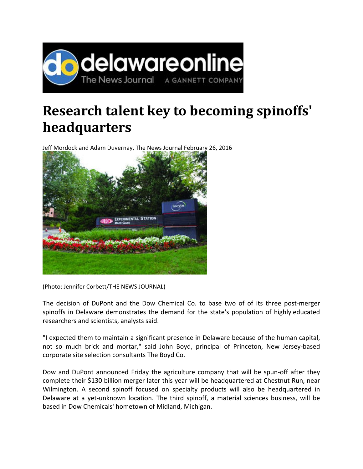

## **Research talent key to becoming spinoffs' headquarters**

Jeff Mordock and Adam Duvernay, The News Journal February 26, 2016



(Photo: Jennifer Corbett/THE NEWS JOURNAL)

The decision of DuPont and the Dow Chemical Co. to base two of of its three post-merger spinoffs in Delaware demonstrates the demand for the state's population of highly educated researchers and scientists, analysts said.

"I expected them to maintain a significant presence in Delaware because of the human capital, not so much brick and mortar," said John Boyd, principal of Princeton, New Jersey‐based corporate site selection consultants The Boyd Co.

Dow and DuPont announced Friday the agriculture company that will be spun-off after they complete their \$130 billion merger later this year will be headquartered at Chestnut Run, near Wilmington. A second spinoff focused on specialty products will also be headquartered in Delaware at a yet-unknown location. The third spinoff, a material sciences business, will be based in Dow Chemicals' hometown of Midland, Michigan.